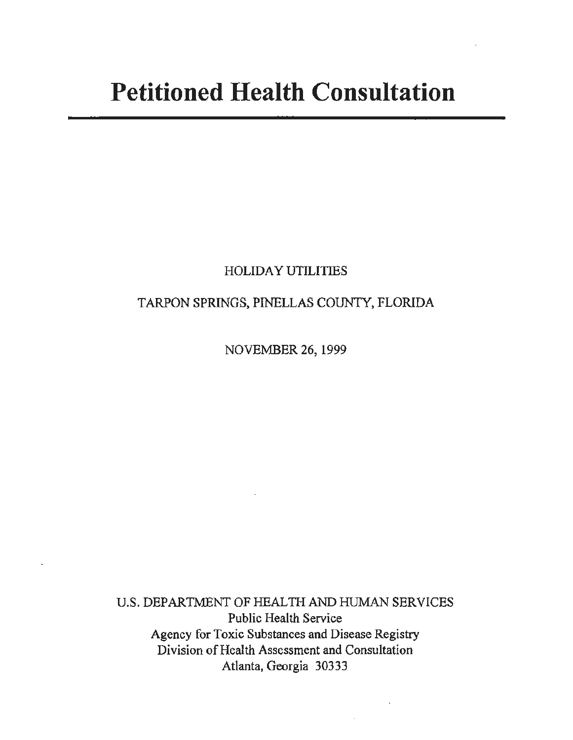# **Petitioned Health Consultation**

## HOLIDAY UTILITIES

## TARPON SPRINGS, PINELLAS COUNTY, FLORIDA

NOVEMBER 26, 1999

U.S. DEPARTMENT OF HEALTH AND HUMAN SERVICES Public Health Service Agency for Toxic Substances and Disease Registry Division of Health Assessment and Consultation Atlanta, Georgia 30333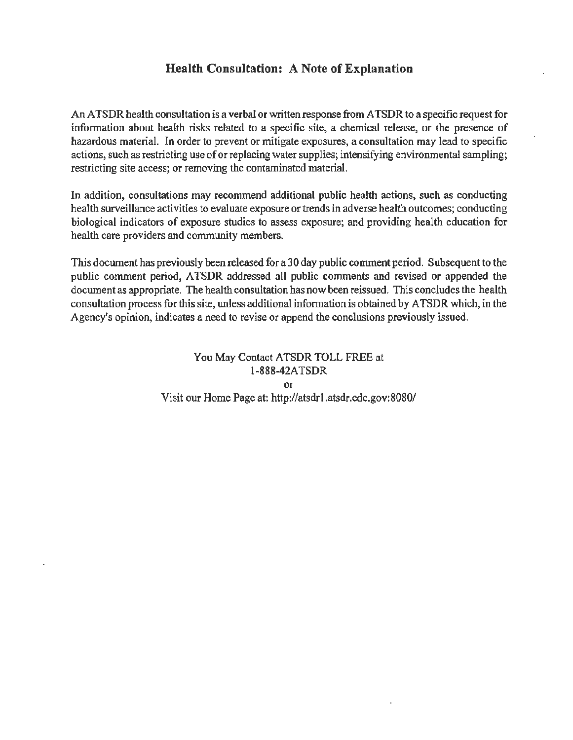## **Health Consultation: A Note of Explanation**

An ATSDR health consultation is a verbal or written response from ATSDR to a specific request for information about health risks related to a specific site, a chemical release, or the presence of hazardous material. In order to prevent or mitigate exposures, a consultation may lead to specific actions, such as restricting use of or replacing water supplies; intensifying environmental sampling; restricting site access; or removing the contaminated material.

In addition, consultations may recommend additional public health actions, such as conducting health surveillance activities to evaluate exposure or trends in adverse health outcomes; conducting biological indicators of exposure studies to assess exposure; and providing health education for health care providers and community members.

This document has previously been released for a 30 day public comment period. Subsequent to the public comment period, ATSDR addressed all public comments and revised or appended the document as appropriate. The health consultation has now been reissued. This concludes the health consultation process for this site, unless additional information is obtained by ATSDR which, in the Agency's opinion, indicates a need to revise or append the conclusions previously issued.

> You May Contact ATSDR TOLL FREE at 1-888-42ATSDR or Visit our Home Page at: http://atsdrl.atsdr.cdc.gov:8080/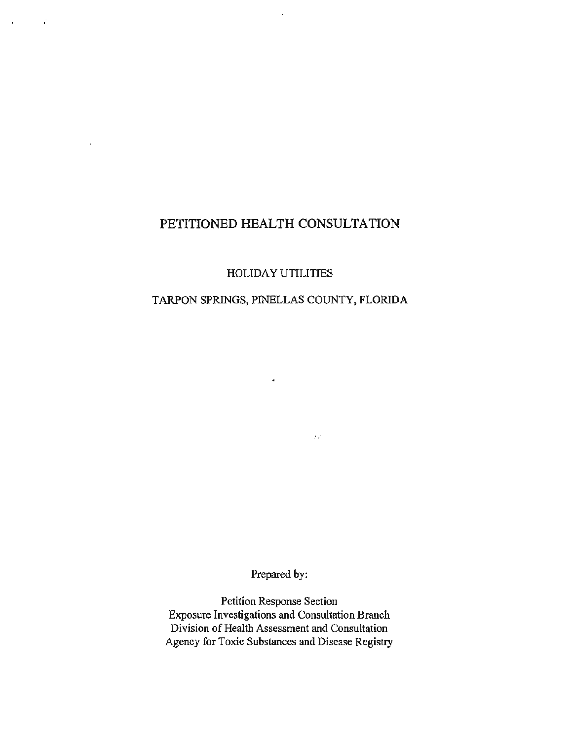# **PETITIONED HEALTH CONSULTATION**

 $\ddot{\phantom{a}}$ 

ć,

 $\ddot{\phantom{0}}$ 

HOLIDAY UTILITIES

### TARPON SPRINGS, PINELLAS COUNTY, FLORIDA

 $\epsilon$ 

 $\mathcal{F}(\mathcal{E})$ 

Prepared by:

Petition Response Section Exposure Investigations and Consultation Branch Division of Health Assessment and Consultation Agency for Toxic Substances and Disease Registry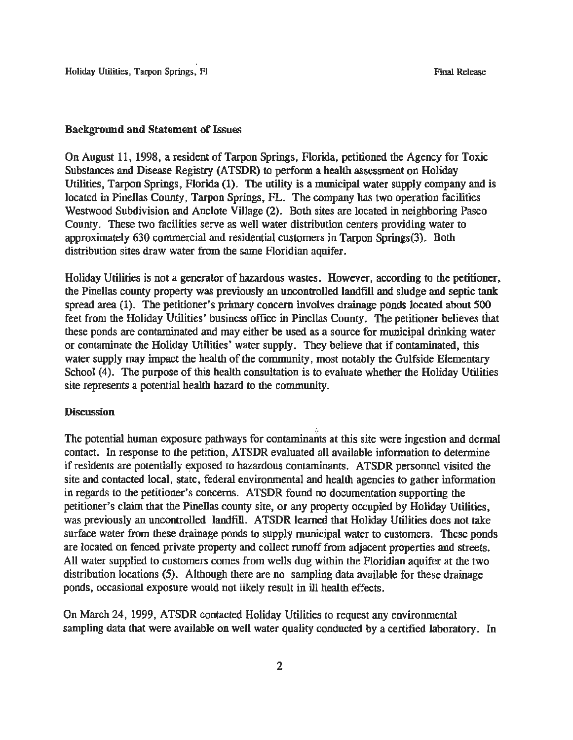Holiday Utilities, Tarpon Springs, Fl Final Release

#### Background and Statement of Issues

On August 11, 1998, a resident of Tarpon Springs, Florida, petitioned the Agency for Toxic Substances and Disease Registry (ATSDR) to perform a health assessment on Holiday Utilities, Tarpon Springs, Florida (1). The utility is a municipal water supply company and is located in Pinellas County, Tarpon Springs, FL. The company has two operation facilities Westwood Subdivision and Anclote Village (2). Both sites are located in neighboring Pasco County. These two facilities serve as well water distribution centers providing water to approximately 630 commercial and residential customers in Tarpon Springs(3). Both distribution sites draw water from the same Floridian aquifer.

Holiday Utilities is not a generator of hazardous wastes. However, according to the petitioner, the Pinellas county property was previously an uncontrolled landfill and sludge and septic tank spread area (1). The petitioner's primary concern involves drainage ponds located about 500 feet from the Holiday Utilities' business office in Pinellas County. The petitioner believes that these ponds are contaminated and may either be used as a source for municipal drinking water or contaminate the Holiday Utilities' water supply. They believe that if contaminated, this water supply may impact the health of the community, most notably the Gulfside Elementary School (4). The purpose of this health consultation is to evaluate whether the Holiday Utilities site represents a potential health hazard to the community.

#### **Discussion**

The potential human exposure pathways for contaminants at this site were ingestion and dermal contact. In response to the petition, ATSDR evaluated all available information to determine if residents are potentially exposed to hazardous contaminants. ATSDR personnel visited the site and contacted local, state, federal environmental and health agencies to gather information in regards to the petitioner's concerns. ATSDR found no documentation supporting the petitioner's claim that the Pinellas county site, or any property occupied by Holiday Utilities, was previously an uncontrolled landfill. ATSDR learned that Holiday Utilities does not take surface water from these drainage ponds to supply municipal water to customers. These ponds are located on fenced private property and collect runoff from adjacent properties and streets. All water supplied to customers comes from wells dug within the Floridian aquifer at the two distribution locations (5). Although there are no sampling data available for these drainage ponds, occasional exposure would not likely result in ill health effects.

On March 24, 1999, ATSDR contacted Holiday Utilities to request any environmental sampling data that were available on well water quality conducted by a certified laboratory. In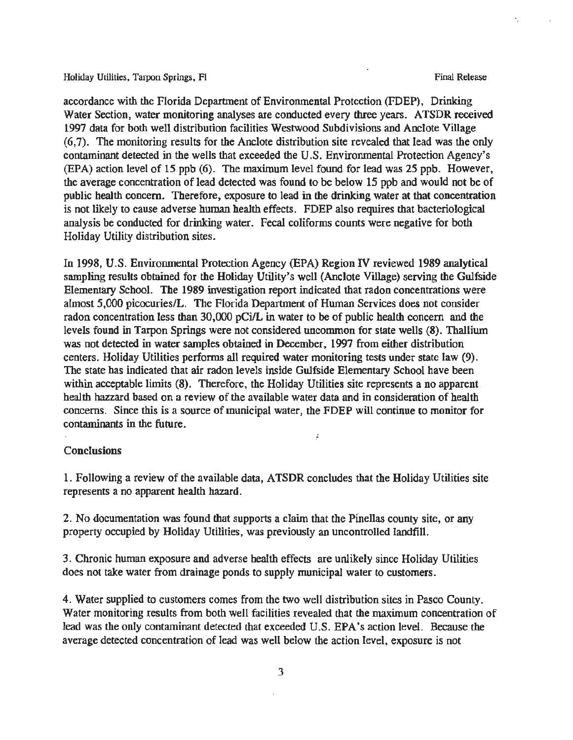Holiday Utilities, Tarpon Springs, Fl Final Release and The Final Release and The Final Release

accordance with the Florida Department of Environmental Protection (FDEP), Drinking Water Section, water monitoring analyses are conducted every three years. ATSDR received 1997 data for both well distribution facilities Westwood Subdivisions and Anclote Village (6,7). The monitoring results for the Anclote distribution site revealed that lead was the only contaminant detected in the wells that exceeded the U.S. Environmental Protection Agency's (EPA) action level of 15 ppb (6). The maximum level found for lead was 25 ppb. However, the average concentration of lead detected was found to be below 15 ppb and would not be of public health concern. Therefore, exposure to lead in the drinking water at that concentration is not likely to cause adverse human health effects. FDEP also requires that bacteriological analysis be conducted for drinking water. Fecal coliforms counts were negative for both Holiday Utility distribution sites.

In 1998, U.S. Environmental Protection Agency (EPA) Region IV reviewed 1989 analytical sampling results obtained for the Holiday Utility's well (Anclote Village) serving the Gulfside Elementary School. The 1989 investigation report indicated that radon concentrations were almost 5,000 picocuries/L. The Florida Department of Human Services does not consider radon concentration less than 30,000 pCi/L in water to be of public health concern and the levels found in Tarpon Springs were not considered uncommon for state wells (8). Thallium was not detected in water samples obtained in December, 1997 from either distribution centers. Holiday Utilities performs all required water monitoring tests under state law (9). The state has indicated that air radon levels inside Gulfside Elementary School have been within acceptable limits (8). Therefore, the Holiday Utilities site represents a no apparent health hazzard based on a review of the available water data and in consideration of health concerns. Since this is a source of municipal water, the FDEP will continue to monitor for contaminants in the future.

#### **Conclusions**

1. Following a review of the available data, ATSDR concludes that the Holiday Utilities site represents a no apparent health hazard.

ś

2. No documentation was found that supports a claim that the Pinellas county site, or any property occupied by Holiday Utilities, was previously an uncontrolled landfill.

3. Chronic human exposure and adverse health effects are unlikely since Holiday Utilities does not take water from drainage ponds to supply municipal water to customers.

4. Water supplied to customers comes from the two well distribution sites in Pasco County. Water monitoring results from both well facilities revealed that the maximum concentration of lead was the only contaminant detected that exceeded U.S. EPA's action level. Because the average detected concentration of lead was well below the action level, exposure is not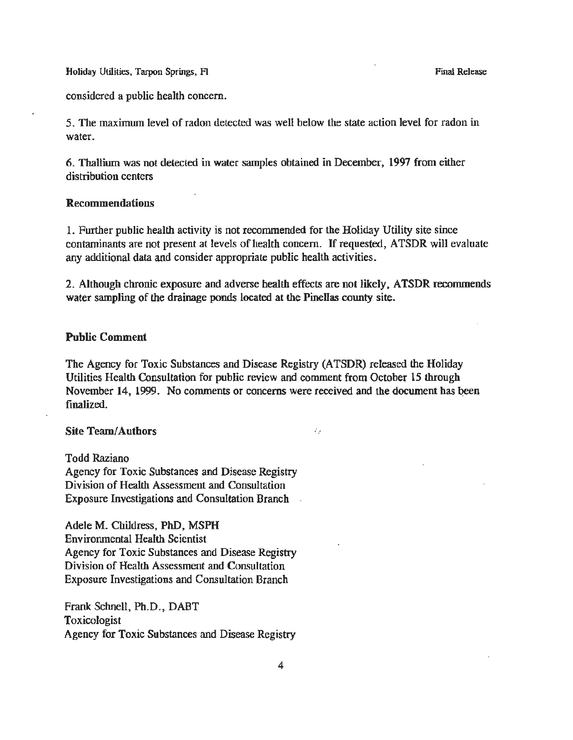Holiday Utilities, Tarpon Springs, Fl Final Release Control of Final Release Pinal Release

considered a public health concern.

5. The maximum level of radon detected was well below the state action level for radon in water.

6. Thallium was not detected in water samples obtained in December, 1997 from either distribution centers

#### Recommendations

1. Further public health activity is not recommended for the Holiday Utility site since contaminants are not present at levels of health concern. If requested, ATSDR will evaluate any additional data and consider appropriate public health activities.

2. Although chronic exposure and adverse health effects are not likely, ATSDR recommends water sampling of the drainage ponds located at the Pinellas county site.

#### Public Comment

The Agency for Toxic Substances and Disease Registry (ATSDR) released the Holiday Utilities Health Consultation for public review and comment from October 15 through November 14, 1999. No comments or concerns were received and the document has been finalized.

 $\mathcal{E}_{\mathcal{E}}$ 

#### Site Team/ Authors

Todd Raziano Agency for Toxic Substances and Disease Registry Division of Health Assessment and Consultation Exposure Investigations and Consultation Branch

Adele M. Childress, PhD, MSPH Environmental Health Scientist Agency for Toxic Substances and Disease Registry Division of Health Assessment and Consultation Exposure Investigations and Consultation Branch

Frank Schnell, Ph.D., DABT Toxicologist Agency for Toxic Substances and Disease Registry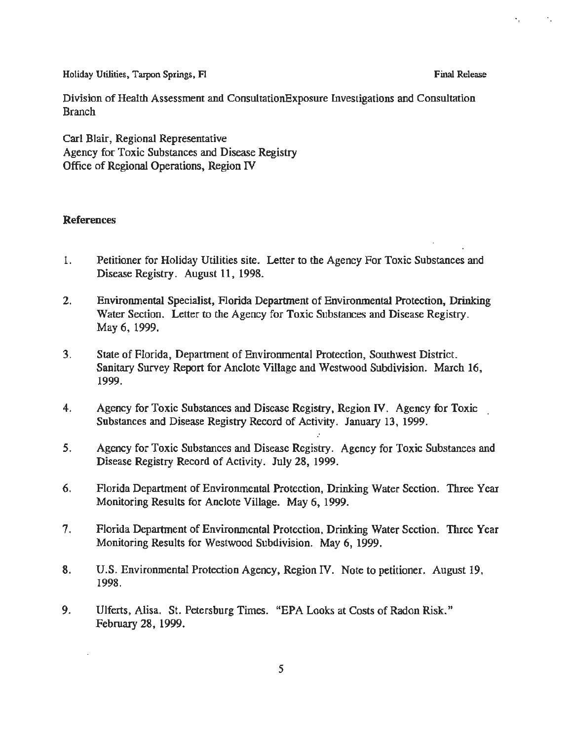Holiday Utilities, Tarpon Springs, Fl **Final Release** Final Release

Division of Health Assessment and ConsultationExposure Investigations and Consultation Branch

Carl Blair, Regional Representative Agency for Toxic Substances and Disease Registry Office of Regional Operations, Region IV

#### References

- 1. Petitioner for Holiday Utilities site. Letter to the Agency For Toxic Substances and Disease Registry. August 11, 1998.
- 2. Environmental Specialist, Florida Department of Environmental Protection, Drinking Water Section. Letter to the Agency for Toxic Substances and Disease Registry. May 6, 1999.
- 3. State of Florida, Department of Environmental Protection, Southwest District. Sanitary Survey Report for Anclote Village and Westwood Subdivision. March 16, 1999.
- 4. Agency for Toxic Substances and Disease Registry, Region IV. Agency for Toxic Substances and Disease Registry Record of Activity. January 13, 1999.
- 5. Agency for Toxic Substances and Disease Registry. Agency for Toxic Substances and Disease Registry Record of Activity. July 28, 1999.
- 6. Florida Department of Environmental Protection, Drinking Water Section. Three Year Monitoring Results for Anclote Village. May 6, 1999.
- 7. Florida Department of Environmental Protection, Drinking Water Section. Three Year Monitoring Results for Westwood Subdivision. May 6, 1999.
- 8. U.S. Environmental Protection Agency, Region IV. Note to petitioner. August 19, 1998.
- 9. Ulferts, Alisa. St. Petersburg Times. "EPA Looks at Costs of Radon Risk." February 28, 1999.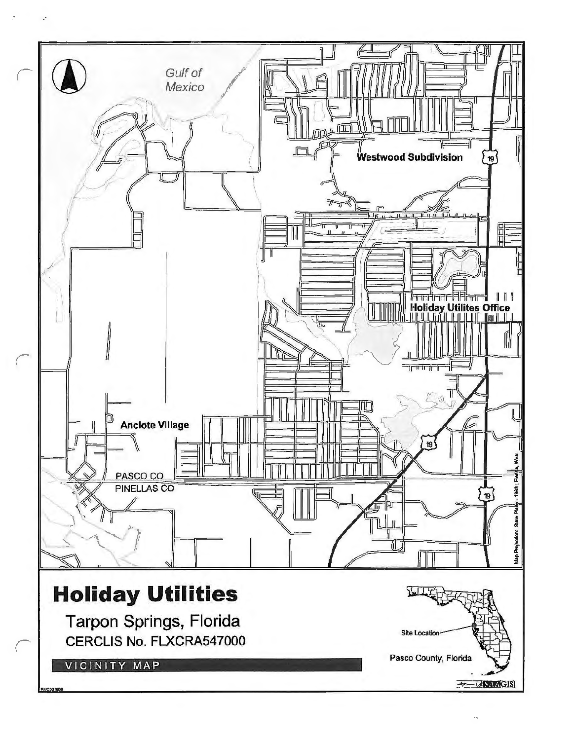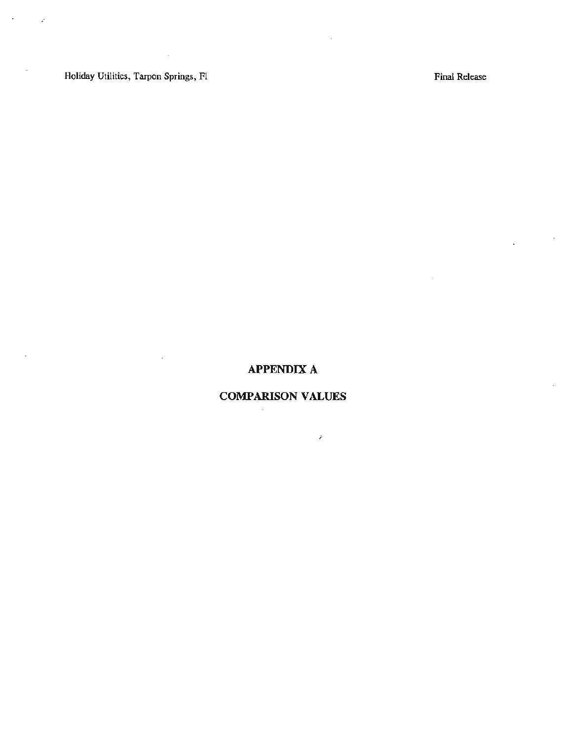Holiday Utilities, Tarpon Springs, Fl

 $\bar{z}$ 

 $\overline{a}$ 

 $\mathcal{A}=\mathcal{A}^{\mathcal{A}}$  ,  $\mathcal{A}$ 

 $\overline{\phantom{a}}$ 

 $\mathcal{L}^{\mathcal{A}}$ 

Final Release

 $\mathcal{L}_{\rm{max}}$ 

 $\sim$   $\sim$ 

 $\mathcal{L}^{\mathcal{L}}$ 

## **APPENDIX A**

 $\sim$ 

# **COMPARISON VALUES**

 $\hat{\epsilon}$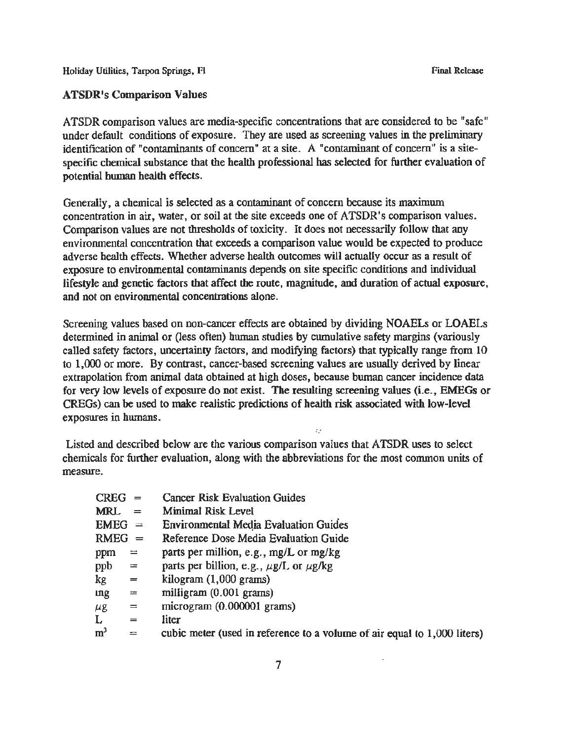Holiday Utilities, Tarpon Springs, F! Final Release Control of Final Release Control of Final Release

ATSDR comparison values are media-specific concentrations that are considered to be "safe" under default conditions of exposure. They are used as screening values in the preliminary

identification of "contaminants of concern" at a site. A "contaminant of concern" is a sitespecific chemical substance that the health professional has selected for further evaluation of potential human health effects.

Generally, a chemical is selected as a contaminant of concern because its maximum concentration in air, water, or soil at the site exceeds one of ATSDR's comparison values. Comparison values are not thresholds of toxicity. It does not necessarily follow that any environmental concentration that exceeds a comparison value would be expected to produce adverse health effects. Whether adverse health outcomes will actually occur as a result of exposure to environmental contaminants depends on site specific conditions and individual lifestyle and genetic factors that affect the route, magnitude, and duration of actual exposure, and not on environmental concentrations alone.

Screening values based on non-cancer effects are obtained by dividing NOAELs or LOAELs determined in animal or (less often) human studies by cumulative safety margins (variously called safety factors, uncertainty factors, and modifying factors) that typically range from 10 to 1,000 or more. By contrast, cancer-based screening values are usually derived by linear extrapolation from animal data obtained at high doses, because hwnan cancer incidence data for very low levels of exposure do not exist. The resulting screening values (i.e., EMEGs or CREGs) can be used to make realistic predictions of health risk associated with low-level exposures in humans.

Listed and described below are the various comparison values that ATSDR uses to select chemicals for further evaluation, along with the abbreviations for the most common units of measure.

| <b>CREG</b>    | $=$      | <b>Cancer Risk Evaluation Guides</b>                                     |
|----------------|----------|--------------------------------------------------------------------------|
| MRL.           | $=$      | <b>Minimal Risk Level</b>                                                |
| $EMEG =$       |          | <b>Environmental Media Evaluation Guides</b>                             |
| $RMEG =$       |          | Reference Dose Media Evaluation Guide                                    |
| ppm            | $=$      | parts per million, e.g., mg/L or mg/kg                                   |
| ppb            | $=$      | parts per billion, e.g., $\mu$ g/L or $\mu$ g/kg                         |
| kg.            | $=$      | kilogram $(1,000$ grams)                                                 |
| ing            | $\equiv$ | milligram (0.001 grams)                                                  |
| μg             | $\equiv$ | microgram (0.000001 grams)                                               |
| L.             | $=$      | liter                                                                    |
| m <sup>3</sup> | $=$      | cubic meter (used in reference to a volume of air equal to 1,000 liters) |
|                |          |                                                                          |